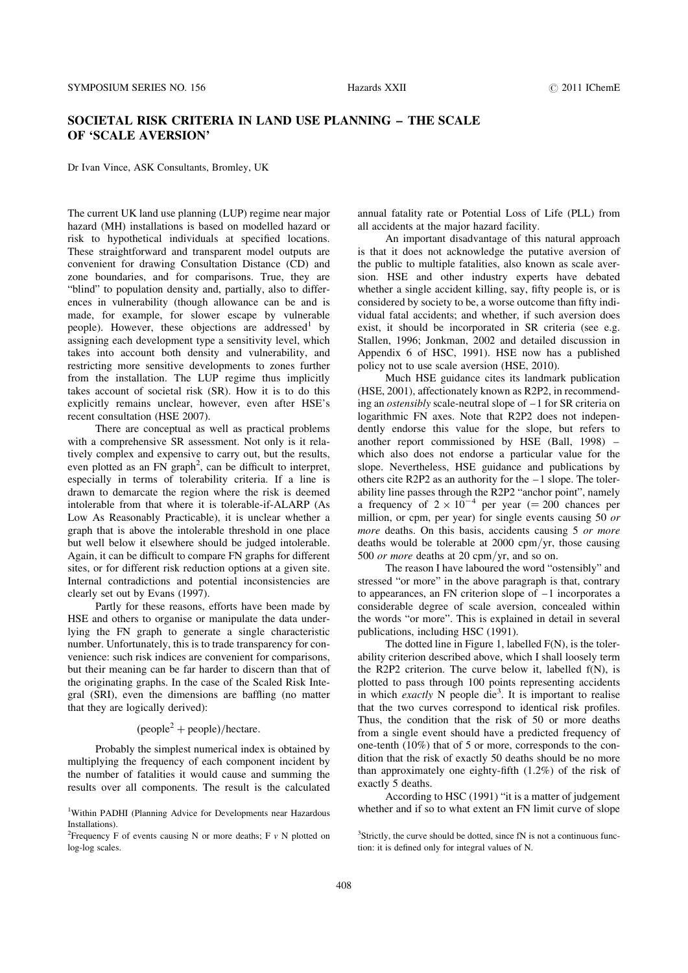## SOCIETAL RISK CRITERIA IN LAND USE PLANNING – THE SCALE OF 'SCALE AVERSION'

Dr Ivan Vince, ASK Consultants, Bromley, UK

The current UK land use planning (LUP) regime near major hazard (MH) installations is based on modelled hazard or risk to hypothetical individuals at specified locations. These straightforward and transparent model outputs are convenient for drawing Consultation Distance (CD) and zone boundaries, and for comparisons. True, they are "blind" to population density and, partially, also to differences in vulnerability (though allowance can be and is made, for example, for slower escape by vulnerable people). However, these objections are addressed by assigning each development type a sensitivity level, which takes into account both density and vulnerability, and restricting more sensitive developments to zones further from the installation. The LUP regime thus implicitly takes account of societal risk (SR). How it is to do this explicitly remains unclear, however, even after HSE's recent consultation (HSE 2007).

There are conceptual as well as practical problems with a comprehensive SR assessment. Not only is it relatively complex and expensive to carry out, but the results, even plotted as an  $FN$  graph<sup>2</sup>, can be difficult to interpret, especially in terms of tolerability criteria. If a line is drawn to demarcate the region where the risk is deemed intolerable from that where it is tolerable-if-ALARP (As Low As Reasonably Practicable), it is unclear whether a graph that is above the intolerable threshold in one place but well below it elsewhere should be judged intolerable. Again, it can be difficult to compare FN graphs for different sites, or for different risk reduction options at a given site. Internal contradictions and potential inconsistencies are clearly set out by Evans (1997).

Partly for these reasons, efforts have been made by HSE and others to organise or manipulate the data underlying the FN graph to generate a single characteristic number. Unfortunately, this is to trade transparency for convenience: such risk indices are convenient for comparisons, but their meaning can be far harder to discern than that of the originating graphs. In the case of the Scaled Risk Integral (SRI), even the dimensions are baffling (no matter that they are logically derived):

## $(people<sup>2</sup> + people)/hectare.$

Probably the simplest numerical index is obtained by multiplying the frequency of each component incident by the number of fatalities it would cause and summing the results over all components. The result is the calculated annual fatality rate or Potential Loss of Life (PLL) from all accidents at the major hazard facility.

An important disadvantage of this natural approach is that it does not acknowledge the putative aversion of the public to multiple fatalities, also known as scale aversion. HSE and other industry experts have debated whether a single accident killing, say, fifty people is, or is considered by society to be, a worse outcome than fifty individual fatal accidents; and whether, if such aversion does exist, it should be incorporated in SR criteria (see e.g. Stallen, 1996; Jonkman, 2002 and detailed discussion in Appendix 6 of HSC, 1991). HSE now has a published policy not to use scale aversion (HSE, 2010).

Much HSE guidance cites its landmark publication (HSE, 2001), affectionately known as R2P2, in recommending an ostensibly scale-neutral slope of – 1 for SR criteria on logarithmic FN axes. Note that R2P2 does not independently endorse this value for the slope, but refers to another report commissioned by HSE (Ball, 1998) – which also does not endorse a particular value for the slope. Nevertheless, HSE guidance and publications by others cite R2P2 as an authority for the  $-1$  slope. The tolerability line passes through the R2P2 "anchor point", namely a frequency of  $2 \times 10^{-4}$  per year (= 200 chances per million, or cpm, per year) for single events causing 50 or more deaths. On this basis, accidents causing 5 or more deaths would be tolerable at 2000 cpm/yr, those causing 500 *or more* deaths at 20 cpm/yr, and so on.

The reason I have laboured the word "ostensibly" and stressed "or more" in the above paragraph is that, contrary to appearances, an FN criterion slope of  $-1$  incorporates a considerable degree of scale aversion, concealed within the words "or more". This is explained in detail in several publications, including HSC (1991).

The dotted line in [Figure 1,](#page-1-0) labelled F(N), is the tolerability criterion described above, which I shall loosely term the R2P2 criterion. The curve below it, labelled f(N), is plotted to pass through 100 points representing accidents in which *exactly*  $N$  people die<sup>3</sup>. It is important to realise that the two curves correspond to identical risk profiles. Thus, the condition that the risk of 50 or more deaths from a single event should have a predicted frequency of one-tenth (10%) that of 5 or more, corresponds to the condition that the risk of exactly 50 deaths should be no more than approximately one eighty-fifth (1.2%) of the risk of exactly 5 deaths.

According to HSC (1991) "it is a matter of judgement <sup>1</sup>Within PADHI (Planning Advice for Developments near Hazardous whether and if so to what extent an FN limit curve of slope

Installations).

<sup>&</sup>lt;sup>2</sup>Frequency F of events causing N or more deaths; F  $\nu$  N plotted on log-log scales.

 $3$ Strictly, the curve should be dotted, since fN is not a continuous function: it is defined only for integral values of N.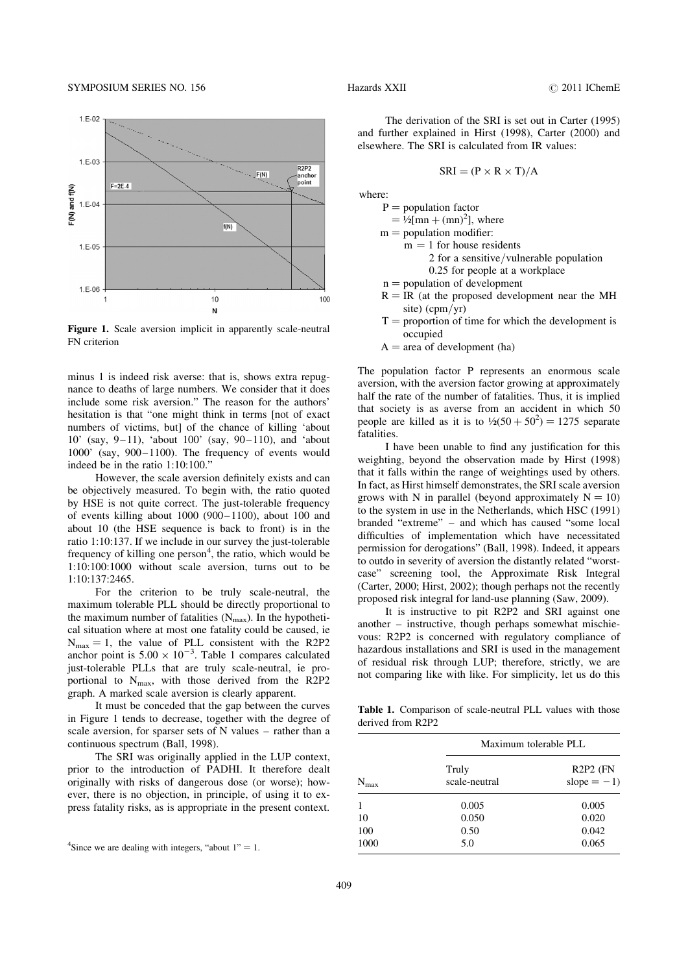<span id="page-1-0"></span>

Figure 1. Scale aversion implicit in apparently scale-neutral FN criterion

minus 1 is indeed risk averse: that is, shows extra repugnance to deaths of large numbers. We consider that it does include some risk aversion." The reason for the authors' hesitation is that "one might think in terms [not of exact numbers of victims, but] of the chance of killing 'about 10' (say, 9-11), 'about 100' (say, 90-110), and 'about 1000' (say, 900– 1100). The frequency of events would indeed be in the ratio 1:10:100."

However, the scale aversion definitely exists and can be objectively measured. To begin with, the ratio quoted by HSE is not quite correct. The just-tolerable frequency of events killing about  $1000 (900 - 1100)$ , about  $100$  and about 10 (the HSE sequence is back to front) is in the ratio 1:10:137. If we include in our survey the just-tolerable frequency of killing one person<sup>4</sup>, the ratio, which would be 1:10:100:1000 without scale aversion, turns out to be 1:10:137:2465.

For the criterion to be truly scale-neutral, the maximum tolerable PLL should be directly proportional to the maximum number of fatalities  $(N_{\text{max}})$ . In the hypothetical situation where at most one fatality could be caused, ie  $N_{\text{max}} = 1$ , the value of PLL consistent with the R2P2 anchor point is  $5.00 \times 10^{-3}$ . Table 1 compares calculated just-tolerable PLLs that are truly scale-neutral, ie proportional to  $N_{\text{max}}$ , with those derived from the R2P2 graph. A marked scale aversion is clearly apparent.

It must be conceded that the gap between the curves in Figure 1 tends to decrease, together with the degree of scale aversion, for sparser sets of N values – rather than a continuous spectrum (Ball, 1998).

The SRI was originally applied in the LUP context, prior to the introduction of PADHI. It therefore dealt originally with risks of dangerous dose (or worse); however, there is no objection, in principle, of using it to express fatality risks, as is appropriate in the present context.

The derivation of the SRI is set out in Carter (1995) and further explained in Hirst (1998), Carter (2000) and elsewhere. The SRI is calculated from IR values:

$$
SRI = (P \times R \times T)/A
$$

where:

- $P =$  population factor
	- $= \frac{1}{2}$ [mn + (mn)<sup>2</sup>], where
- $m =$  population modifier:
	- $m = 1$  for house residents
		- 2 for a sensitive/vulnerable population 0.25 for people at a workplace
- $n =$  population of development
- $R = IR$  (at the proposed development near the MH site) (cpm/yr)
- $T =$  proportion of time for which the development is occupied
- $A =$  area of development (ha)

The population factor P represents an enormous scale aversion, with the aversion factor growing at approximately half the rate of the number of fatalities. Thus, it is implied that society is as averse from an accident in which 50 people are killed as it is to  $\frac{1}{2}(50 + 50^2) = 1275$  separate fatalities.

I have been unable to find any justification for this weighting, beyond the observation made by Hirst (1998) that it falls within the range of weightings used by others. In fact, as Hirst himself demonstrates, the SRI scale aversion grows with N in parallel (beyond approximately  $N = 10$ ) to the system in use in the Netherlands, which HSC (1991) branded "extreme" – and which has caused "some local difficulties of implementation which have necessitated permission for derogations" (Ball, 1998). Indeed, it appears to outdo in severity of aversion the distantly related "worstcase" screening tool, the Approximate Risk Integral (Carter, 2000; Hirst, 2002); though perhaps not the recently proposed risk integral for land-use planning (Saw, 2009).

It is instructive to pit R2P2 and SRI against one another – instructive, though perhaps somewhat mischievous: R2P2 is concerned with regulatory compliance of hazardous installations and SRI is used in the management of residual risk through LUP; therefore, strictly, we are not comparing like with like. For simplicity, let us do this

Table 1. Comparison of scale-neutral PLL values with those derived from R2P2

| R <sub>2</sub> P <sub>2</sub> (FN<br>slope $= -1$ ) |
|-----------------------------------------------------|
| 0.005                                               |
| 0.020                                               |
| 0.042                                               |
| 0.065                                               |
|                                                     |

<sup>&</sup>lt;sup>4</sup>Since we are dealing with integers, "about  $1" = 1$ .